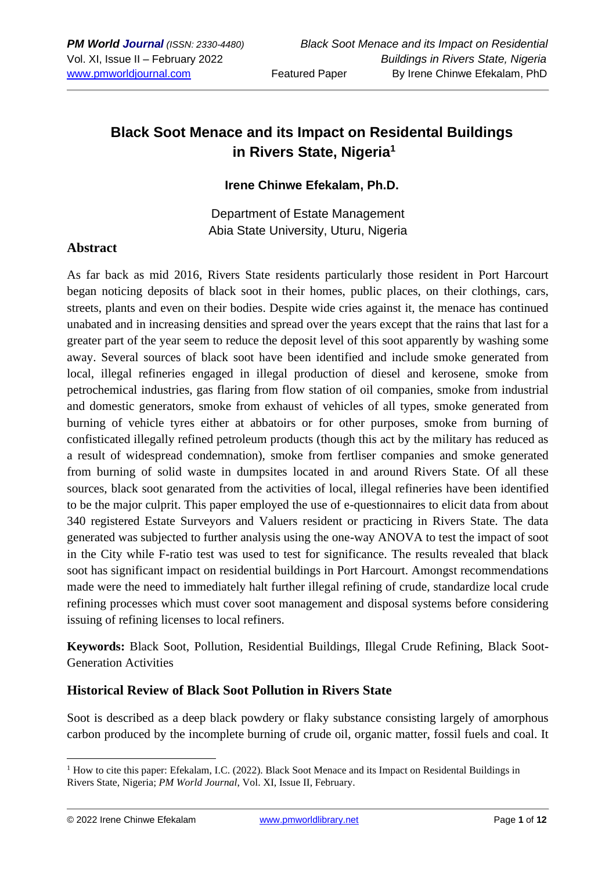# **Black Soot Menace and its Impact on Residental Buildings in Rivers State, Nigeria<sup>1</sup>**

#### **Irene Chinwe Efekalam, Ph.D.**

Department of Estate Management Abia State University, Uturu, Nigeria

#### **Abstract**

As far back as mid 2016, Rivers State residents particularly those resident in Port Harcourt began noticing deposits of black soot in their homes, public places, on their clothings, cars, streets, plants and even on their bodies. Despite wide cries against it, the menace has continued unabated and in increasing densities and spread over the years except that the rains that last for a greater part of the year seem to reduce the deposit level of this soot apparently by washing some away. Several sources of black soot have been identified and include smoke generated from local, illegal refineries engaged in illegal production of diesel and kerosene, smoke from petrochemical industries, gas flaring from flow station of oil companies, smoke from industrial and domestic generators, smoke from exhaust of vehicles of all types, smoke generated from burning of vehicle tyres either at abbatoirs or for other purposes, smoke from burning of confisticated illegally refined petroleum products (though this act by the military has reduced as a result of widespread condemnation), smoke from fertliser companies and smoke generated from burning of solid waste in dumpsites located in and around Rivers State. Of all these sources, black soot genarated from the activities of local, illegal refineries have been identified to be the major culprit. This paper employed the use of e-questionnaires to elicit data from about 340 registered Estate Surveyors and Valuers resident or practicing in Rivers State. The data generated was subjected to further analysis using the one-way ANOVA to test the impact of soot in the City while F-ratio test was used to test for significance. The results revealed that black soot has significant impact on residential buildings in Port Harcourt. Amongst recommendations made were the need to immediately halt further illegal refining of crude, standardize local crude refining processes which must cover soot management and disposal systems before considering issuing of refining licenses to local refiners.

**Keywords:** Black Soot, Pollution, Residential Buildings, Illegal Crude Refining, Black Soot-Generation Activities

#### **Historical Review of Black Soot Pollution in Rivers State**

Soot is described as a deep black powdery or flaky substance consisting largely of amorphous carbon produced by the incomplete burning of crude oil, organic matter, fossil fuels and coal. It

© 2022 Irene Chinwe Efekalam [www.pmworldlibrary.net](http://www.pmworldlibrary.net/) Page **1** of **12**

<sup>&</sup>lt;sup>1</sup> How to cite this paper: Efekalam, I.C. (2022). Black Soot Menace and its Impact on Residental Buildings in Rivers State, Nigeria; *PM World Journal*, Vol. XI, Issue II, February.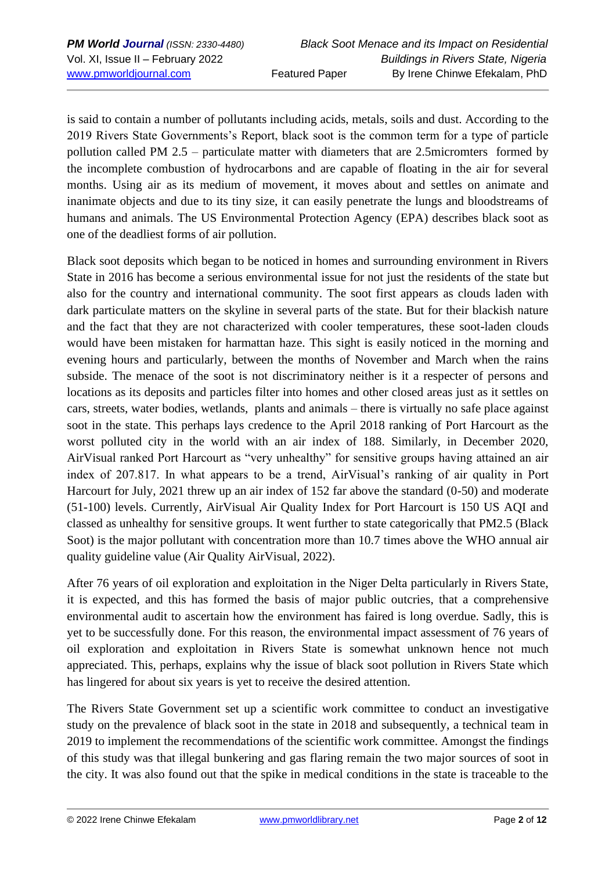is said to contain a number of pollutants including acids, metals, soils and dust. According to the 2019 Rivers State Governments's Report, black soot is the common term for a type of particle pollution called PM 2.5 – particulate matter with diameters that are 2.5micromters formed by the incomplete combustion of hydrocarbons and are capable of floating in the air for several months. Using air as its medium of movement, it moves about and settles on animate and inanimate objects and due to its tiny size, it can easily penetrate the lungs and bloodstreams of humans and animals. The US Environmental Protection Agency (EPA) describes black soot as one of the deadliest forms of air pollution.

Black soot deposits which began to be noticed in homes and surrounding environment in Rivers State in 2016 has become a serious environmental issue for not just the residents of the state but also for the country and international community. The soot first appears as clouds laden with dark particulate matters on the skyline in several parts of the state. But for their blackish nature and the fact that they are not characterized with cooler temperatures, these soot-laden clouds would have been mistaken for harmattan haze. This sight is easily noticed in the morning and evening hours and particularly, between the months of November and March when the rains subside. The menace of the soot is not discriminatory neither is it a respecter of persons and locations as its deposits and particles filter into homes and other closed areas just as it settles on cars, streets, water bodies, wetlands, plants and animals – there is virtually no safe place against soot in the state. This perhaps lays credence to the April 2018 ranking of Port Harcourt as the worst polluted city in the world with an air index of 188. Similarly, in December 2020, AirVisual ranked Port Harcourt as "very unhealthy" for sensitive groups having attained an air index of 207.817. In what appears to be a trend, AirVisual's ranking of air quality in Port Harcourt for July, 2021 threw up an air index of 152 far above the standard (0-50) and moderate (51-100) levels. Currently, AirVisual Air Quality Index for Port Harcourt is 150 US AQI and classed as unhealthy for sensitive groups. It went further to state categorically that PM2.5 (Black Soot) is the major pollutant with concentration more than 10.7 times above the WHO annual air quality guideline value (Air Quality AirVisual, 2022).

After 76 years of oil exploration and exploitation in the Niger Delta particularly in Rivers State, it is expected, and this has formed the basis of major public outcries, that a comprehensive environmental audit to ascertain how the environment has faired is long overdue. Sadly, this is yet to be successfully done. For this reason, the environmental impact assessment of 76 years of oil exploration and exploitation in Rivers State is somewhat unknown hence not much appreciated. This, perhaps, explains why the issue of black soot pollution in Rivers State which has lingered for about six years is yet to receive the desired attention.

The Rivers State Government set up a scientific work committee to conduct an investigative study on the prevalence of black soot in the state in 2018 and subsequently, a technical team in 2019 to implement the recommendations of the scientific work committee. Amongst the findings of this study was that illegal bunkering and gas flaring remain the two major sources of soot in the city. It was also found out that the spike in medical conditions in the state is traceable to the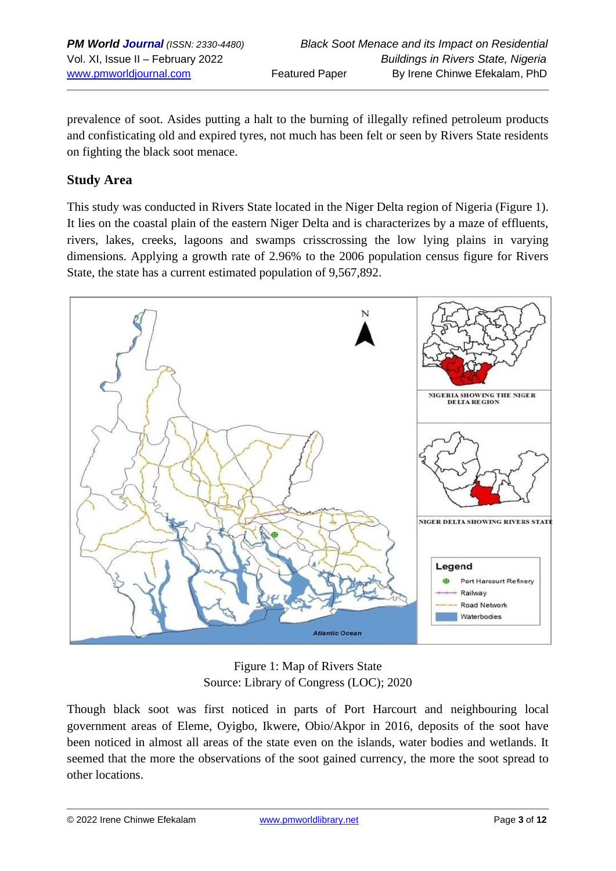prevalence of soot. Asides putting a halt to the burning of illegally refined petroleum products and confisticating old and expired tyres, not much has been felt or seen by Rivers State residents on fighting the black soot menace.

## **Study Area**

This study was conducted in Rivers State located in the Niger Delta region of Nigeria (Figure 1). It lies on the coastal plain of the eastern Niger Delta and is characterizes by a maze of effluents, rivers, lakes, creeks, lagoons and swamps crisscrossing the low lying plains in varying dimensions. Applying a growth rate of 2.96% to the 2006 population census figure for Rivers State, the state has a current estimated population of 9,567,892.



Figure 1: Map of Rivers State Source: Library of Congress (LOC); 2020

Though black soot was first noticed in parts of Port Harcourt and neighbouring local government areas of Eleme, Oyigbo, Ikwere, Obio/Akpor in 2016, deposits of the soot have been noticed in almost all areas of the state even on the islands, water bodies and wetlands. It seemed that the more the observations of the soot gained currency, the more the soot spread to other locations.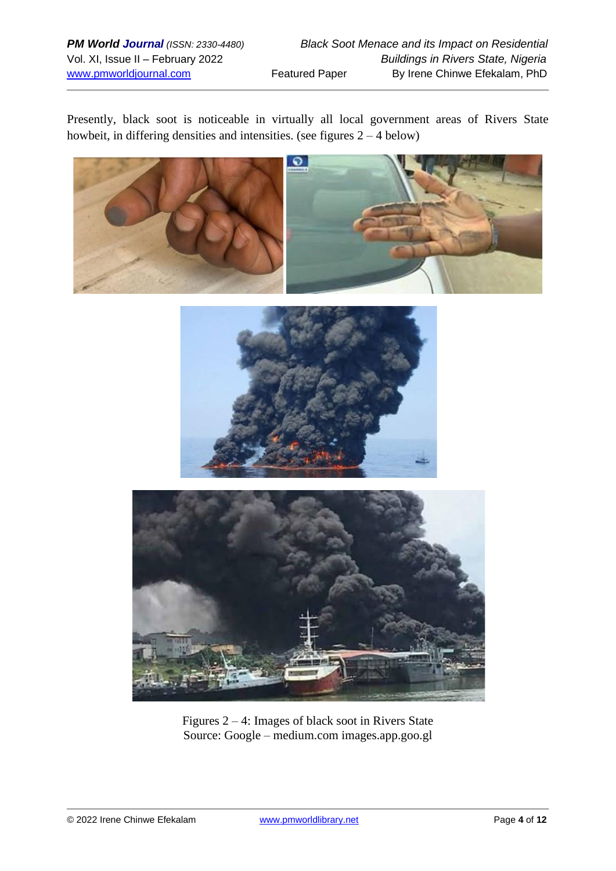Presently, black soot is noticeable in virtually all local government areas of Rivers State howbeit, in differing densities and intensities. (see figures  $2 - 4$  below)







Figures 2 – 4: Images of black soot in Rivers State Source: Google – medium.com images.app.goo.gl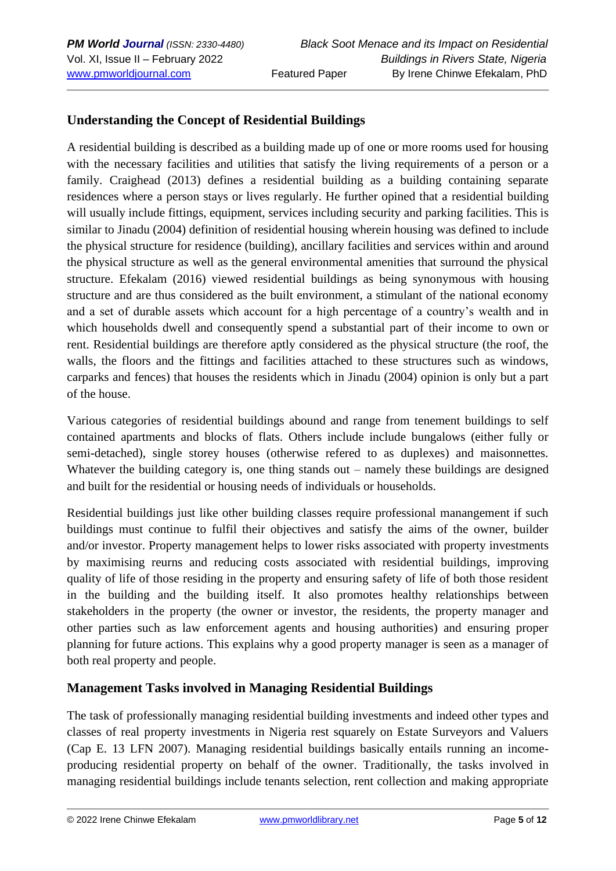### **Understanding the Concept of Residential Buildings**

A residential building is described as a building made up of one or more rooms used for housing with the necessary facilities and utilities that satisfy the living requirements of a person or a family. Craighead (2013) defines a residential building as a building containing separate residences where a person stays or lives regularly. He further opined that a residential building will usually include fittings, equipment, services including security and parking facilities. This is similar to Jinadu (2004) definition of residential housing wherein housing was defined to include the physical structure for residence (building), ancillary facilities and services within and around the physical structure as well as the general environmental amenities that surround the physical structure. Efekalam (2016) viewed residential buildings as being synonymous with housing structure and are thus considered as the built environment, a stimulant of the national economy and a set of durable assets which account for a high percentage of a country's wealth and in which households dwell and consequently spend a substantial part of their income to own or rent. Residential buildings are therefore aptly considered as the physical structure (the roof, the walls, the floors and the fittings and facilities attached to these structures such as windows, carparks and fences) that houses the residents which in Jinadu (2004) opinion is only but a part of the house.

Various categories of residential buildings abound and range from tenement buildings to self contained apartments and blocks of flats. Others include include bungalows (either fully or semi-detached), single storey houses (otherwise refered to as duplexes) and maisonnettes. Whatever the building category is, one thing stands out – namely these buildings are designed and built for the residential or housing needs of individuals or households.

Residential buildings just like other building classes require professional manangement if such buildings must continue to fulfil their objectives and satisfy the aims of the owner, builder and/or investor. Property management helps to lower risks associated with property investments by maximising reurns and reducing costs associated with residential buildings, improving quality of life of those residing in the property and ensuring safety of life of both those resident in the building and the building itself. It also promotes healthy relationships between stakeholders in the property (the owner or investor, the residents, the property manager and other parties such as law enforcement agents and housing authorities) and ensuring proper planning for future actions. This explains why a good property manager is seen as a manager of both real property and people.

#### **Management Tasks involved in Managing Residential Buildings**

The task of professionally managing residential building investments and indeed other types and classes of real property investments in Nigeria rest squarely on Estate Surveyors and Valuers (Cap E. 13 LFN 2007). Managing residential buildings basically entails running an incomeproducing residential property on behalf of the owner. Traditionally, the tasks involved in managing residential buildings include tenants selection, rent collection and making appropriate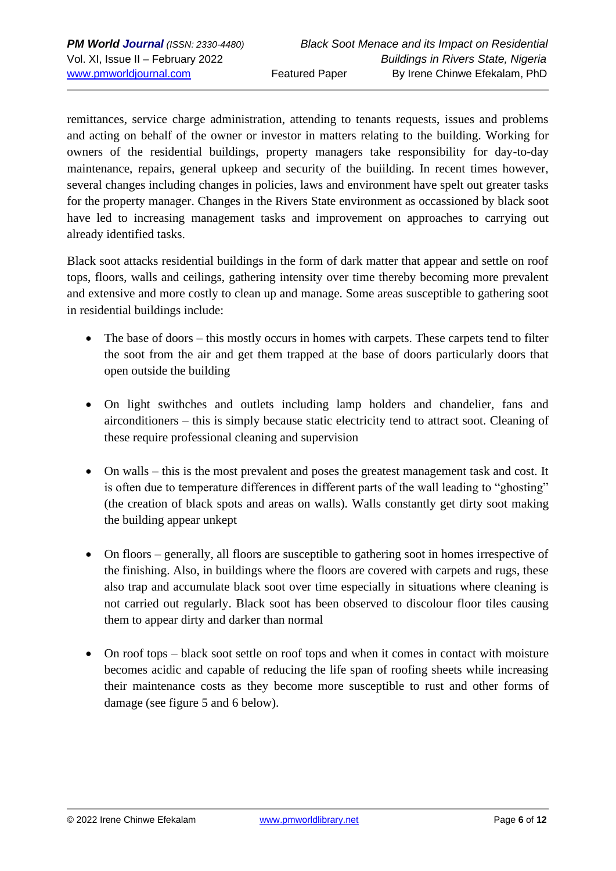remittances, service charge administration, attending to tenants requests, issues and problems and acting on behalf of the owner or investor in matters relating to the building. Working for owners of the residential buildings, property managers take responsibility for day-to-day maintenance, repairs, general upkeep and security of the buiilding. In recent times however, several changes including changes in policies, laws and environment have spelt out greater tasks for the property manager. Changes in the Rivers State environment as occassioned by black soot have led to increasing management tasks and improvement on approaches to carrying out already identified tasks.

Black soot attacks residential buildings in the form of dark matter that appear and settle on roof tops, floors, walls and ceilings, gathering intensity over time thereby becoming more prevalent and extensive and more costly to clean up and manage. Some areas susceptible to gathering soot in residential buildings include:

- The base of doors this mostly occurs in homes with carpets. These carpets tend to filter the soot from the air and get them trapped at the base of doors particularly doors that open outside the building
- On light swithches and outlets including lamp holders and chandelier, fans and airconditioners – this is simply because static electricity tend to attract soot. Cleaning of these require professional cleaning and supervision
- On walls this is the most prevalent and poses the greatest management task and cost. It is often due to temperature differences in different parts of the wall leading to "ghosting" (the creation of black spots and areas on walls). Walls constantly get dirty soot making the building appear unkept
- On floors generally, all floors are susceptible to gathering soot in homes irrespective of the finishing. Also, in buildings where the floors are covered with carpets and rugs, these also trap and accumulate black soot over time especially in situations where cleaning is not carried out regularly. Black soot has been observed to discolour floor tiles causing them to appear dirty and darker than normal
- On roof tops black soot settle on roof tops and when it comes in contact with moisture becomes acidic and capable of reducing the life span of roofing sheets while increasing their maintenance costs as they become more susceptible to rust and other forms of damage (see figure 5 and 6 below).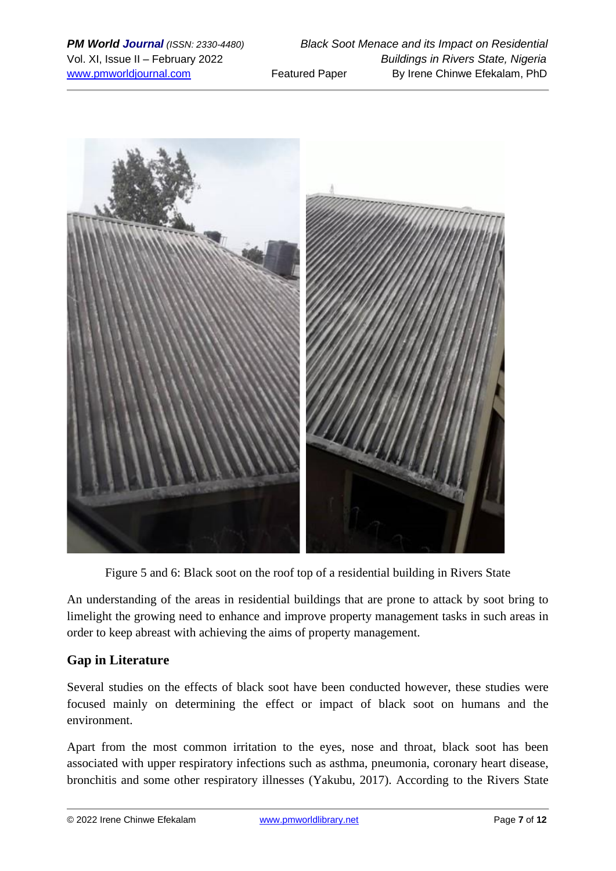

Figure 5 and 6: Black soot on the roof top of a residential building in Rivers State

An understanding of the areas in residential buildings that are prone to attack by soot bring to limelight the growing need to enhance and improve property management tasks in such areas in order to keep abreast with achieving the aims of property management.

# **Gap in Literature**

Several studies on the effects of black soot have been conducted however, these studies were focused mainly on determining the effect or impact of black soot on humans and the environment.

Apart from the most common irritation to the eyes, nose and throat, black soot has been associated with upper respiratory infections such as asthma, pneumonia, coronary heart disease, bronchitis and some other respiratory illnesses (Yakubu, 2017). According to the Rivers State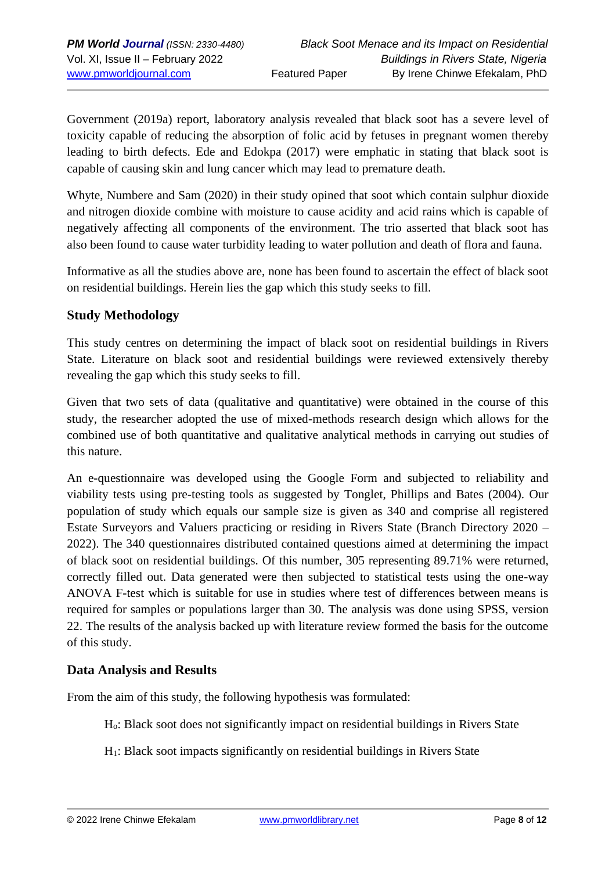Government (2019a) report, laboratory analysis revealed that black soot has a severe level of toxicity capable of reducing the absorption of folic acid by fetuses in pregnant women thereby leading to birth defects. Ede and Edokpa (2017) were emphatic in stating that black soot is capable of causing skin and lung cancer which may lead to premature death.

Whyte, Numbere and Sam (2020) in their study opined that soot which contain sulphur dioxide and nitrogen dioxide combine with moisture to cause acidity and acid rains which is capable of negatively affecting all components of the environment. The trio asserted that black soot has also been found to cause water turbidity leading to water pollution and death of flora and fauna.

Informative as all the studies above are, none has been found to ascertain the effect of black soot on residential buildings. Herein lies the gap which this study seeks to fill.

### **Study Methodology**

This study centres on determining the impact of black soot on residential buildings in Rivers State. Literature on black soot and residential buildings were reviewed extensively thereby revealing the gap which this study seeks to fill.

Given that two sets of data (qualitative and quantitative) were obtained in the course of this study, the researcher adopted the use of mixed-methods research design which allows for the combined use of both quantitative and qualitative analytical methods in carrying out studies of this nature.

An e-questionnaire was developed using the Google Form and subjected to reliability and viability tests using pre-testing tools as suggested by Tonglet, Phillips and Bates (2004). Our population of study which equals our sample size is given as 340 and comprise all registered Estate Surveyors and Valuers practicing or residing in Rivers State (Branch Directory 2020 – 2022). The 340 questionnaires distributed contained questions aimed at determining the impact of black soot on residential buildings. Of this number, 305 representing 89.71% were returned, correctly filled out. Data generated were then subjected to statistical tests using the one-way ANOVA F-test which is suitable for use in studies where test of differences between means is required for samples or populations larger than 30. The analysis was done using SPSS, version 22. The results of the analysis backed up with literature review formed the basis for the outcome of this study.

#### **Data Analysis and Results**

From the aim of this study, the following hypothesis was formulated:

- Ho: Black soot does not significantly impact on residential buildings in Rivers State
- H1: Black soot impacts significantly on residential buildings in Rivers State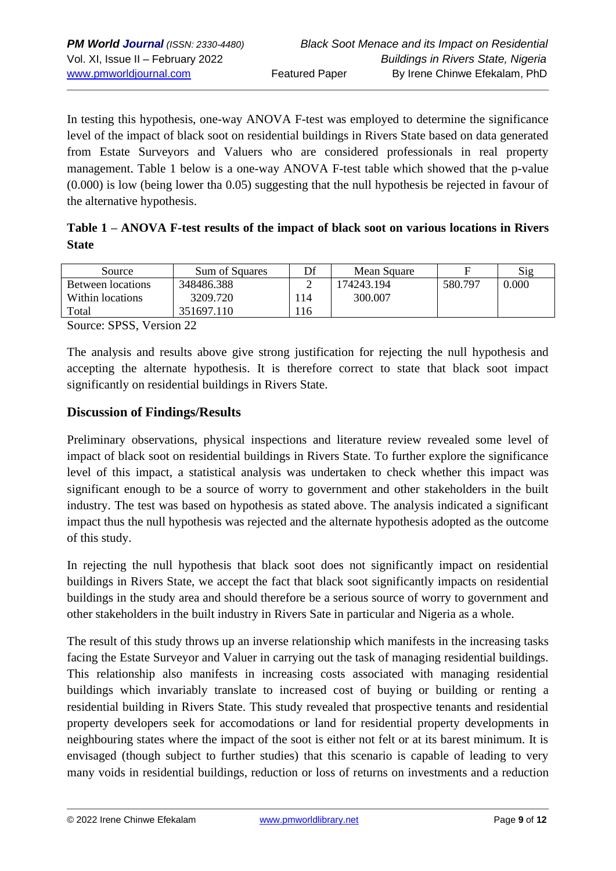In testing this hypothesis, one-way ANOVA F-test was employed to determine the significance level of the impact of black soot on residential buildings in Rivers State based on data generated from Estate Surveyors and Valuers who are considered professionals in real property management. Table 1 below is a one-way ANOVA F-test table which showed that the p-value (0.000) is low (being lower tha 0.05) suggesting that the null hypothesis be rejected in favour of the alternative hypothesis.

|              | Table 1 – ANOVA F-test results of the impact of black soot on various locations in Rivers |  |  |
|--------------|-------------------------------------------------------------------------------------------|--|--|
| <b>State</b> |                                                                                           |  |  |

| Source            | Sum of Squares | Df  | Mean Square |         | Sig   |
|-------------------|----------------|-----|-------------|---------|-------|
| Between locations | 348486.388     | ∸   | 174243.194  | 580.797 | 0.000 |
| Within locations  | 3209.720       | 114 | 300.007     |         |       |
| Total             | 351697.110     | 116 |             |         |       |

Source: SPSS, Version 22

The analysis and results above give strong justification for rejecting the null hypothesis and accepting the alternate hypothesis. It is therefore correct to state that black soot impact significantly on residential buildings in Rivers State.

#### **Discussion of Findings/Results**

Preliminary observations, physical inspections and literature review revealed some level of impact of black soot on residential buildings in Rivers State. To further explore the significance level of this impact, a statistical analysis was undertaken to check whether this impact was significant enough to be a source of worry to government and other stakeholders in the built industry. The test was based on hypothesis as stated above. The analysis indicated a significant impact thus the null hypothesis was rejected and the alternate hypothesis adopted as the outcome of this study.

In rejecting the null hypothesis that black soot does not significantly impact on residential buildings in Rivers State, we accept the fact that black soot significantly impacts on residential buildings in the study area and should therefore be a serious source of worry to government and other stakeholders in the built industry in Rivers Sate in particular and Nigeria as a whole.

The result of this study throws up an inverse relationship which manifests in the increasing tasks facing the Estate Surveyor and Valuer in carrying out the task of managing residential buildings. This relationship also manifests in increasing costs associated with managing residential buildings which invariably translate to increased cost of buying or building or renting a residential building in Rivers State. This study revealed that prospective tenants and residential property developers seek for accomodations or land for residential property developments in neighbouring states where the impact of the soot is either not felt or at its barest minimum. It is envisaged (though subject to further studies) that this scenario is capable of leading to very many voids in residential buildings, reduction or loss of returns on investments and a reduction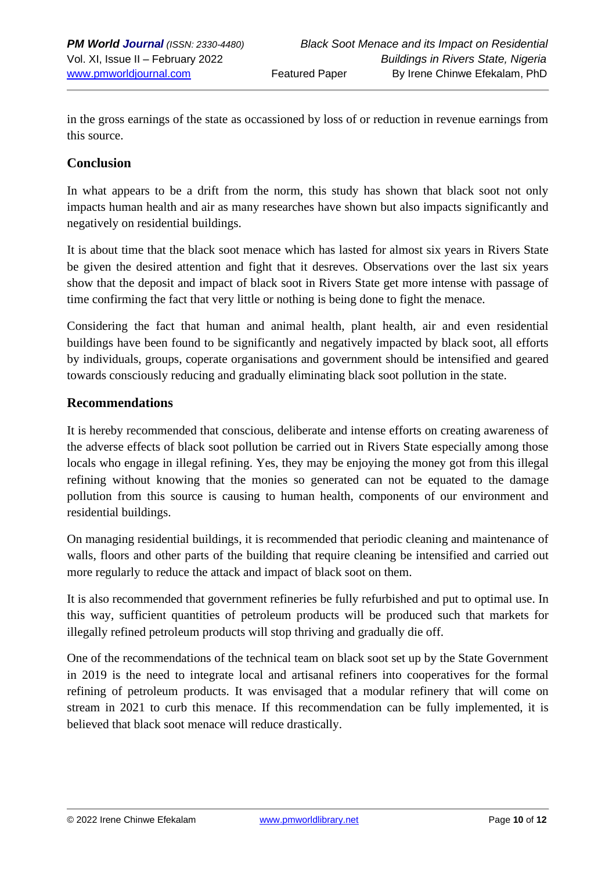in the gross earnings of the state as occassioned by loss of or reduction in revenue earnings from this source.

#### **Conclusion**

In what appears to be a drift from the norm, this study has shown that black soot not only impacts human health and air as many researches have shown but also impacts significantly and negatively on residential buildings.

It is about time that the black soot menace which has lasted for almost six years in Rivers State be given the desired attention and fight that it desreves. Observations over the last six years show that the deposit and impact of black soot in Rivers State get more intense with passage of time confirming the fact that very little or nothing is being done to fight the menace.

Considering the fact that human and animal health, plant health, air and even residential buildings have been found to be significantly and negatively impacted by black soot, all efforts by individuals, groups, coperate organisations and government should be intensified and geared towards consciously reducing and gradually eliminating black soot pollution in the state.

#### **Recommendations**

It is hereby recommended that conscious, deliberate and intense efforts on creating awareness of the adverse effects of black soot pollution be carried out in Rivers State especially among those locals who engage in illegal refining. Yes, they may be enjoying the money got from this illegal refining without knowing that the monies so generated can not be equated to the damage pollution from this source is causing to human health, components of our environment and residential buildings.

On managing residential buildings, it is recommended that periodic cleaning and maintenance of walls, floors and other parts of the building that require cleaning be intensified and carried out more regularly to reduce the attack and impact of black soot on them.

It is also recommended that government refineries be fully refurbished and put to optimal use. In this way, sufficient quantities of petroleum products will be produced such that markets for illegally refined petroleum products will stop thriving and gradually die off.

One of the recommendations of the technical team on black soot set up by the State Government in 2019 is the need to integrate local and artisanal refiners into cooperatives for the formal refining of petroleum products. It was envisaged that a modular refinery that will come on stream in 2021 to curb this menace. If this recommendation can be fully implemented, it is believed that black soot menace will reduce drastically.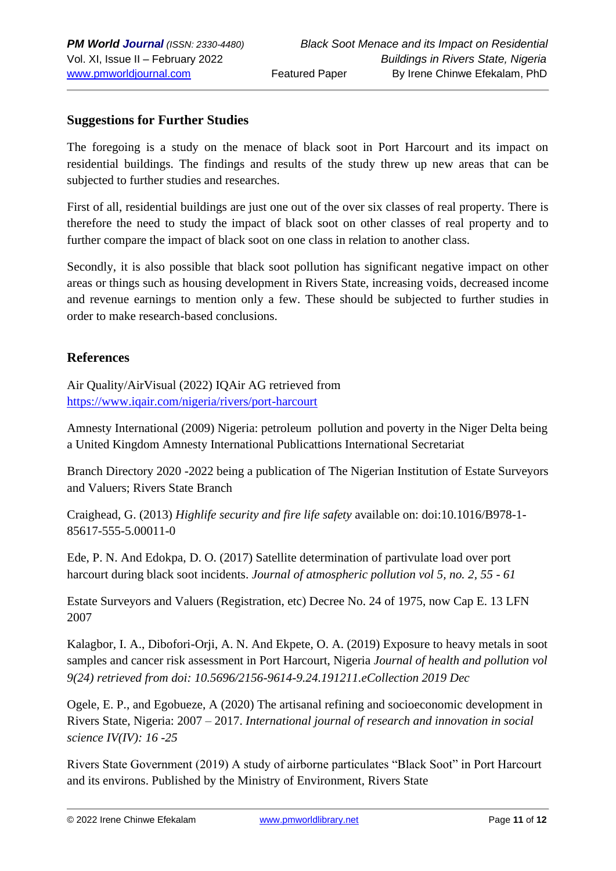#### **Suggestions for Further Studies**

The foregoing is a study on the menace of black soot in Port Harcourt and its impact on residential buildings. The findings and results of the study threw up new areas that can be subjected to further studies and researches.

First of all, residential buildings are just one out of the over six classes of real property. There is therefore the need to study the impact of black soot on other classes of real property and to further compare the impact of black soot on one class in relation to another class.

Secondly, it is also possible that black soot pollution has significant negative impact on other areas or things such as housing development in Rivers State, increasing voids, decreased income and revenue earnings to mention only a few. These should be subjected to further studies in order to make research-based conclusions.

#### **References**

Air Quality/AirVisual (2022) IQAir AG retrieved from <https://www.iqair.com/nigeria/rivers/port-harcourt>

Amnesty International (2009) Nigeria: petroleum pollution and poverty in the Niger Delta being a United Kingdom Amnesty International Publicattions International Secretariat

Branch Directory 2020 -2022 being a publication of The Nigerian Institution of Estate Surveyors and Valuers; Rivers State Branch

Craighead, G. (2013) *Highlife security and fire life safety* available on: doi:10.1016/B978-1- 85617-555-5.00011-0

Ede, P. N. And Edokpa, D. O. (2017) Satellite determination of partivulate load over port harcourt during black soot incidents. *Journal of atmospheric pollution vol 5, no. 2, 55 - 61*

Estate Surveyors and Valuers (Registration, etc) Decree No. 24 of 1975, now Cap E. 13 LFN 2007

Kalagbor, I. A., Dibofori-Orji, A. N. And Ekpete, O. A. (2019) Exposure to heavy metals in soot samples and cancer risk assessment in Port Harcourt, Nigeria *Journal of health and pollution vol 9(24) retrieved from doi: 10.5696/2156-9614-9.24.191211.eCollection 2019 Dec*

Ogele, E. P., and Egobueze, A (2020) The artisanal refining and socioeconomic development in Rivers State, Nigeria: 2007 – 2017. *International journal of research and innovation in social science IV(IV): 16 -25*

Rivers State Government (2019) A study of airborne particulates "Black Soot" in Port Harcourt and its environs. Published by the Ministry of Environment, Rivers State